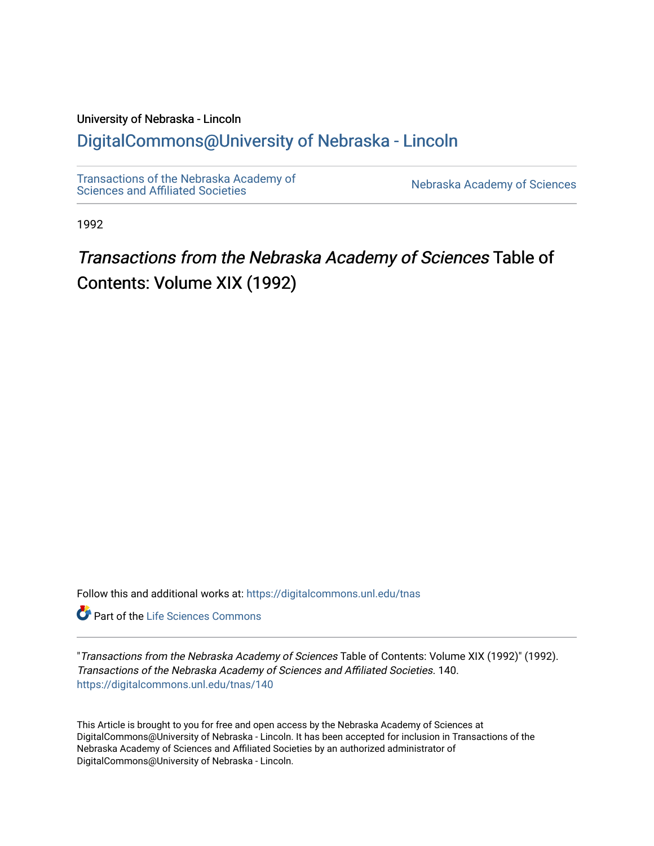### University of Nebraska - Lincoln [DigitalCommons@University of Nebraska - Lincoln](https://digitalcommons.unl.edu/)

[Transactions of the Nebraska Academy of](https://digitalcommons.unl.edu/tnas)  Transactions of the Nebraska Academy of Sciences<br>Sciences and Affiliated Societies

1992

# Transactions from the Nebraska Academy of Sciences Table of Contents: Volume XIX (1992)

Follow this and additional works at: [https://digitalcommons.unl.edu/tnas](https://digitalcommons.unl.edu/tnas?utm_source=digitalcommons.unl.edu%2Ftnas%2F140&utm_medium=PDF&utm_campaign=PDFCoverPages) 

**Part of the Life Sciences Commons** 

"Transactions from the Nebraska Academy of Sciences Table of Contents: Volume XIX (1992)" (1992). Transactions of the Nebraska Academy of Sciences and Affiliated Societies. 140. [https://digitalcommons.unl.edu/tnas/140](https://digitalcommons.unl.edu/tnas/140?utm_source=digitalcommons.unl.edu%2Ftnas%2F140&utm_medium=PDF&utm_campaign=PDFCoverPages) 

This Article is brought to you for free and open access by the Nebraska Academy of Sciences at DigitalCommons@University of Nebraska - Lincoln. It has been accepted for inclusion in Transactions of the Nebraska Academy of Sciences and Affiliated Societies by an authorized administrator of DigitalCommons@University of Nebraska - Lincoln.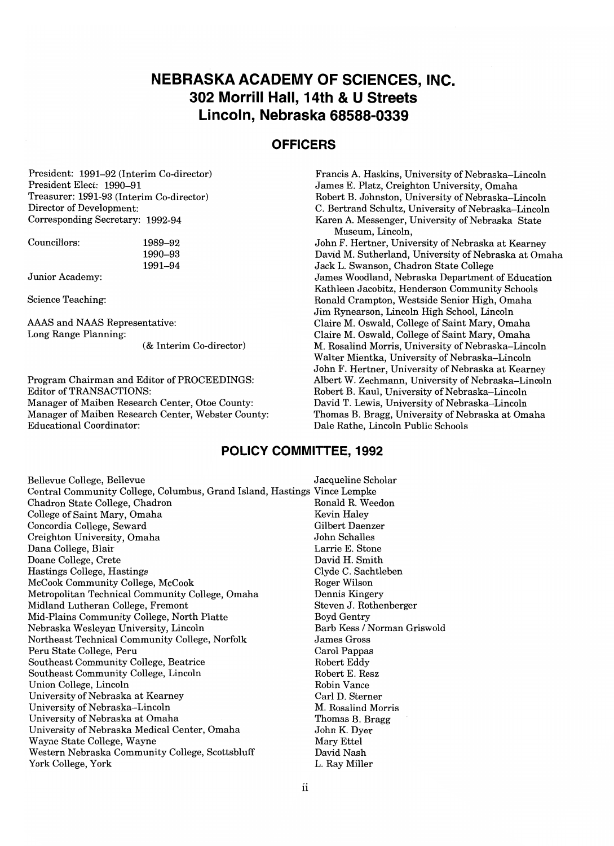### **NEBRASKA ACADEMY OF SCIENCES, INC. 302 Morrill Hall, 14th & U Streets Lincoln, Nebraska 68588-0339**

### **OFFICERS**

President: 1991-92 (Interim Co-director) President Elect: 1990-91 Treasurer: 1991-93 (Interim Co-director) Director of Development: Corresponding Secretary: 1992-94

Councillors:

1990-93 1991-94

1989-92

Junior Academy:

Science Teaching:

AAAS and NAAS Representative: Long Range Planning:

(& Interim Co-director)

Program Chairman and Editor of PROCEEDINGS: Editor of TRANSACTIONS: Manager of Maiben Research Center, Otoe County: Manager of Maiben Research Center, Webster County: Educational Coordinator:

### **POLICY COMMITTEE, 1992**

Bellevue College, Bellevue **College, Bellevue** Jacqueline Scholar Central Community College, Columbus, Grand Island, Hastings Vince Lempke Chadron State College, Chadron College of Saint Mary, Omaha Concordia College, Seward Creighton University, Omaha Dana College, Blair Doane College, Crete Hastings College, Hastings McCook Community College, McCook Metropolitan Technical Community College, Omaha Midland Lutheran College, Fremont Mid-Plains Community College, North Platte Nebraska Wesleyan University, Lincoln Northeast Technical Community College, Norfolk Peru State College, Peru Southeast Community College, Beatrice Southeast Community College, Lincoln Union College, Lincoln University of Nebraska at Kearney University of Nebraska-Lincoln University of Nebraska at Omaha University of Nebraska Medical Center, Omaha Wayne State College, Wayne Western Nebraska Community College, Scottsbluff York College, York

Ronald R. Weedon Kevin Haley Gilbert Daenzer John Schalles Larrie E. Stone David H. Smith Clyde C. Sachtleben Roger Wilson Dennis Kingery Steven J. Rothenberger Boyd Gentry Barb Kess / Norman Griswold James Gross Carol Pappas Robert Eddy Robert E. Resz Robin Vance Carl D. Sterner M. Rosalind Morris Thomas B. Bragg John K. Dyer Mary Ettel David Nash L. Ray Miller

Francis A. Haskins, University of Nebraska-Lincoln James E. Platz, Creighton University, Omaha Robert B. Johnston, University of Nebraska-Lincoln C. Bertrand Schultz, University of Nebraska-Lincoln Karen A. Messenger, University of Nebraska State Museum, Lincoln,

John F. Hertner, University of Nebraska at Kearney David M. Sutherland, University of Nebraska at Omaha Jack L. Swanson, Chadron State College James Woodland, Nebraska Department of Education Kathleen Jacobitz, Henderson Community Schools Ronald Crampton, Westside Senior High, Omaha Jim Rynearson, Lincoln High School, Lincoln Claire M. Oswald, College of Saint Mary, Omaha Claire M. Oswald, College of Saint Mary, Omaha M. Rosalind Morris, University of Nebraska-Lincoln Walter Mientka, University of Nebraska-Lincoln John F. Hertner, University of Nebraska at Kearney Albert W. Zechmann, University of Nebraska-Lincoln Robert B. Kaul, University of Nebraska-Lincoln David T. Lewis, University of Nebraska-Lincoln Thomas B. Bragg, University of Nebraska at Omaha Dale Rathe, Lincoln Public Schools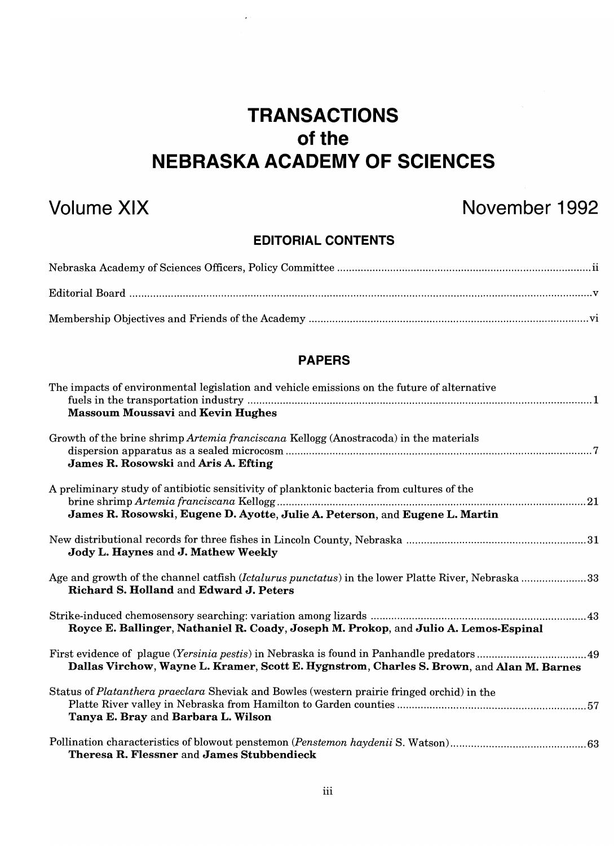# **TRANSACTIONS**  of the **NEBRASKA ACADEMY OF SCIENCES**

 $\mathcal{L}^{\mathcal{L}}$ 

## **Volume XIX November 1992**

### **EDITORIAL CONTENTS**

### **PAPERS**

| The impacts of environmental legislation and vehicle emissions on the future of alternative<br><b>Massoum Moussavi and Kevin Hughes</b>                                   |  |
|---------------------------------------------------------------------------------------------------------------------------------------------------------------------------|--|
| Growth of the brine shrimp Artemia franciscana Kellogg (Anostracoda) in the materials<br>James R. Rosowski and Aris A. Efting                                             |  |
| A preliminary study of antibiotic sensitivity of planktonic bacteria from cultures of the<br>James R. Rosowski, Eugene D. Ayotte, Julie A. Peterson, and Eugene L. Martin |  |
| Jody L. Haynes and J. Mathew Weekly                                                                                                                                       |  |
| Age and growth of the channel catfish (Ictalurus punctatus) in the lower Platte River, Nebraska 33<br>Richard S. Holland and Edward J. Peters                             |  |
| Royce E. Ballinger, Nathaniel R. Coady, Joseph M. Prokop, and Julio A. Lemos-Espinal                                                                                      |  |
| Dallas Virchow, Wayne L. Kramer, Scott E. Hygnstrom, Charles S. Brown, and Alan M. Barnes                                                                                 |  |
| Status of Platanthera praeclara Sheviak and Bowles (western prairie fringed orchid) in the<br>Tanya E. Bray and Barbara L. Wilson                                         |  |
| Theresa R. Flessner and James Stubbendieck                                                                                                                                |  |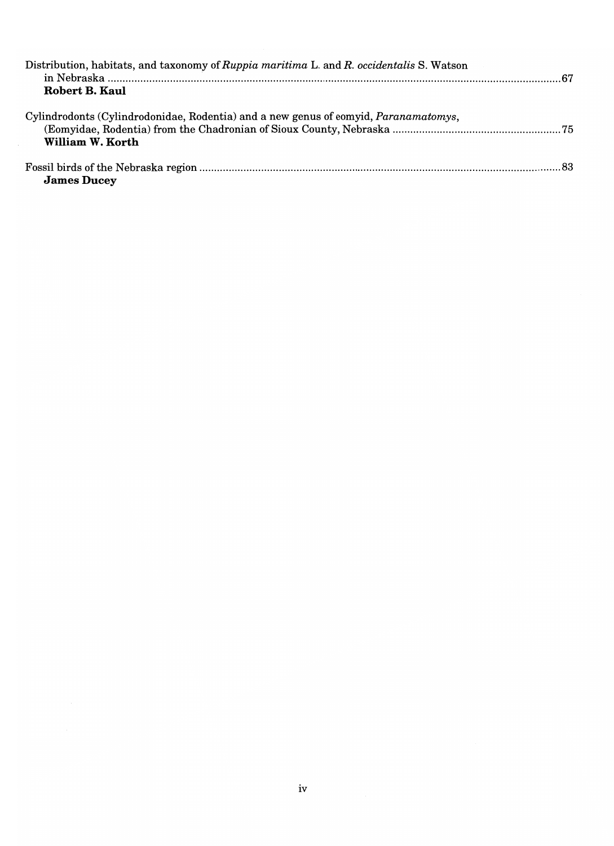| Distribution, habitats, and taxonomy of Ruppia maritima L. and R. occidentalis S. Watson<br>Robert B. Kaul |  |
|------------------------------------------------------------------------------------------------------------|--|
| Cylindrodonts (Cylindrodonidae, Rodentia) and a new genus of eomyid, Paranamatomys,<br>William W. Korth    |  |
| <b>James Ducey</b>                                                                                         |  |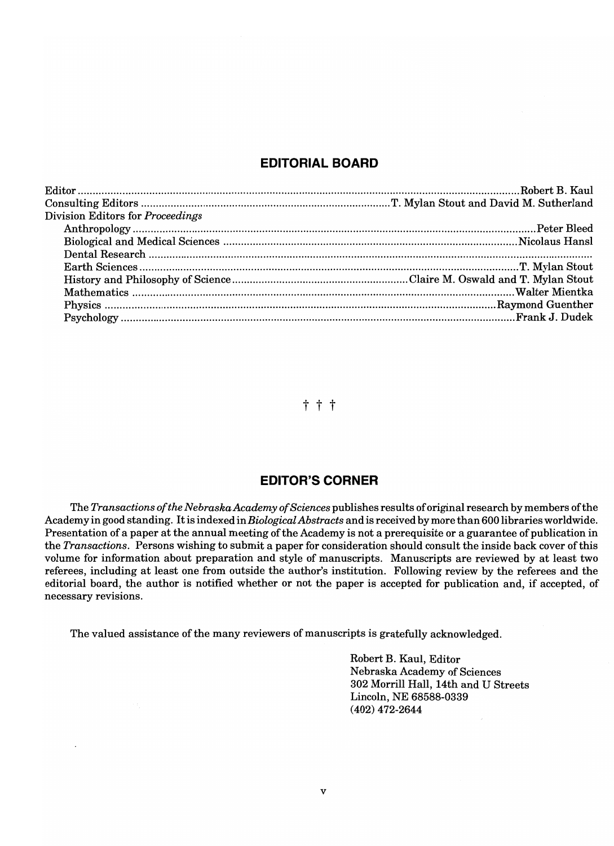### **EDITORIAL BOARD**

| Division Editors for Proceedings |  |
|----------------------------------|--|
|                                  |  |
|                                  |  |
|                                  |  |
|                                  |  |
|                                  |  |
|                                  |  |
|                                  |  |
|                                  |  |

t t t

### **EDITOR'S CORNER**

The *Transactions of the NebraskaAcademy of Sciences* publishes results of original research by members ofthe Academy in good standing. It is indexed in *Biological Abstracts* and is received by more than 600 libraries worldwide. Presentation of a paper at the annual meeting of the Academy is not a prerequisite or a guarantee of publication in the *Transactions.* Persons wishing to submit a paper for consideration should consult the inside back cover of this volume for information about preparation and style of manuscripts. Manuscripts are reviewed by at least two referees, including at least one from outside the author's institution. Following review by the referees and the editorial board, the author is notified whether or not the paper is accepted for publication and, if accepted, of necessary revisions.

The valued assistance of the many reviewers of manuscripts is gratefully acknowledged.

Robert B. Kaul, Editor Nebraska Academy of Sciences 302 Morrill Hall, 14th and U Streets Lincoln, NE 68588-0339 (402) 472-2644